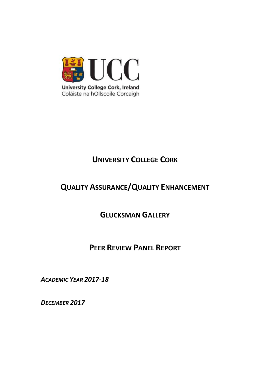

# **UNIVERSITY COLLEGE CORK**

# **QUALITY ASSURANCE/QUALITY ENHANCEMENT**

**GLUCKSMAN GALLERY**

# **PEER REVIEW PANEL REPORT**

*ACADEMIC YEAR 2017-18*

*DECEMBER 2017*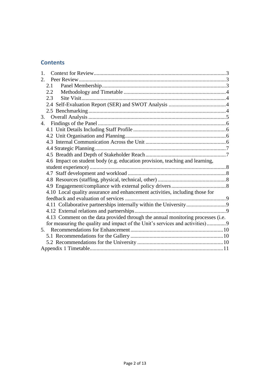# **Contents**

| $\mathbf{1}$ .                                                                  |  |
|---------------------------------------------------------------------------------|--|
| 2.                                                                              |  |
| 2.1                                                                             |  |
| 2.2                                                                             |  |
| 2.3                                                                             |  |
|                                                                                 |  |
|                                                                                 |  |
|                                                                                 |  |
| 4.                                                                              |  |
|                                                                                 |  |
|                                                                                 |  |
|                                                                                 |  |
|                                                                                 |  |
|                                                                                 |  |
| 4.6 Impact on student body (e.g. education provision, teaching and learning,    |  |
|                                                                                 |  |
|                                                                                 |  |
|                                                                                 |  |
|                                                                                 |  |
| 4.10 Local quality assurance and enhancement activities, including those for    |  |
|                                                                                 |  |
|                                                                                 |  |
|                                                                                 |  |
| 4.13 Comment on the data provided through the annual monitoring processes (i.e. |  |
| for measuring the quality and impact of the Unit's services and activities)9    |  |
|                                                                                 |  |
|                                                                                 |  |
|                                                                                 |  |
|                                                                                 |  |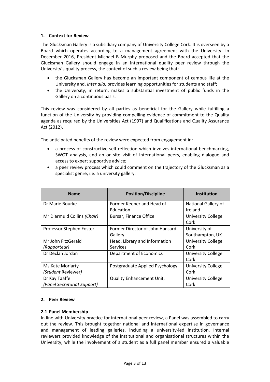### <span id="page-2-0"></span>**1. Context for Review**

The Glucksman Gallery is a subsidiary company of University College Cork. It is overseen by a Board which operates according to a management agreement with the University. In December 2016, President Michael B Murphy proposed and the Board accepted that the Glucksman Gallery should engage in an international quality peer review through the University's quality process, the context of such a review being that:

- the Glucksman Gallery has become an important component of campus life at the University and, *inter alia*, provides learning opportunities for students and staff;
- the University, in return, makes a substantial investment of public funds in the Gallery on a continuous basis.

This review was considered by all parties as beneficial for the Gallery while fulfilling a function of the University by providing compelling evidence of commitment to the Quality agenda as required by the Universities Act (1997) and Qualifications and Quality Assurance Act (2012).

The anticipated benefits of the review were expected from engagement in:

- a process of constructive self-reflection which involves international benchmarking, SWOT analysis, and an on-site visit of international peers, enabling dialogue and access to expert supportive advice;
- a peer review process which could comment on the trajectory of the Glucksman as a specialist genre, i.e. a university gallery.

| <b>Name</b>                 | <b>Position/Discipline</b>       | <b>Institution</b>        |
|-----------------------------|----------------------------------|---------------------------|
| Dr Marie Bourke             | Former Keeper and Head of        | National Gallery of       |
|                             | Education                        | Ireland                   |
| Mr Diarmuid Collins (Chair) | Bursar, Finance Office           | <b>University College</b> |
|                             |                                  | Cork                      |
| Professor Stephen Foster    | Former Director of John Hansard  | University of             |
|                             | Gallery                          | Southampton, UK           |
| Mr John FitzGerald          | Head, Library and Information    | <b>University College</b> |
| (Rapporteur)                | <b>Services</b>                  | Cork                      |
| Dr Declan Jordan            | Department of Economics          | <b>University College</b> |
|                             |                                  | Cork                      |
| Ms Kate Moriarty            | Postgraduate Applied Psychology  | <b>University College</b> |
| (Student Reviewer)          |                                  | Cork                      |
| Dr Kay Taaffe               | <b>Quality Enhancement Unit,</b> | <b>University College</b> |
| (Panel Secretariat Support) |                                  | Cork                      |

#### <span id="page-2-1"></span>**2. Peer Review**

#### <span id="page-2-2"></span>**2.1 Panel Membership**

In line with University practice for international peer review, a Panel was assembled to carry out the review. This brought together national and international expertise in governance and management of leading galleries, including a university-led institution. Internal reviewers provided knowledge of the institutional and organisational structures within the University, while the involvement of a student as a full panel member ensured a valuable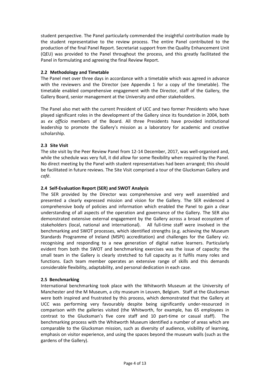student perspective. The Panel particularly commended the insightful contribution made by the student representative to the review process. The entire Panel contributed to the production of the final Panel Report. Secretariat support from the Quality Enhancement Unit (QEU) was provided to the Panel throughout the process, and this greatly facilitated the Panel in formulating and agreeing the final Review Report.

# <span id="page-3-0"></span>**2.2 Methodology and Timetable**

The Panel met over three days in accordance with a timetable which was agreed in advance with the reviewers and the Director (see Appendix 1 for a copy of the timetable). The timetable enabled comprehensive engagement with the Director, staff of the Gallery, the Gallery Board, senior management at the University and other stakeholders.

The Panel also met with the current President of UCC and two former Presidents who have played significant roles in the development of the Gallery since its foundation in 2004, both as *ex officio* members of the Board. All three Presidents have provided institutional leadership to promote the Gallery's mission as a laboratory for academic and creative scholarship.

### <span id="page-3-1"></span>**2.3 Site Visit**

The site visit by the Peer Review Panel from 12-14 December, 2017, was well-organised and, while the schedule was very full, it did allow for some flexibility when required by the Panel. No direct meeting by the Panel with student representatives had been arranged; this should be facilitated in future reviews. The Site Visit comprised a tour of the Glucksman Gallery and *café*.

#### <span id="page-3-2"></span>**2.4 Self-Evaluation Report (SER) and SWOT Analysis**

The SER provided by the Director was comprehensive and very well assembled and presented a clearly expressed mission and vision for the Gallery. The SER evidenced a comprehensive body of policies and information which enabled the Panel to gain a clear understanding of all aspects of the operation and governance of the Gallery. The SER also demonstrated extensive external engagement by the Gallery across a broad ecosystem of stakeholders (local, national and international). All full-time staff were involved in the benchmarking and SWOT processes, which identified strengths (e.g. achieving the Museum Standards Programme of Ireland (MSPI) accreditation) and challenges for the Gallery *viz*. recognising and responding to a new generation of digital native learners. Particularly evident from both the SWOT and benchmarking exercises was the issue of capacity: the small team in the Gallery is clearly stretched to full capacity as it fulfils many roles and functions. Each team member operates an extensive range of skills and this demands considerable flexibility, adaptability, and personal dedication in each case.

#### <span id="page-3-3"></span>**2.5 Benchmarking**

International benchmarking took place with the Whitworth Museum at the University of Manchester and the M Museum, a city museum in Leuven, Belgium. Staff at the Glucksman were both inspired and frustrated by this process, which demonstrated that the Gallery at UCC was performing very favourably despite being significantly under-resourced in comparison with the galleries visited (the Whitworth, for example, has 65 employees in contrast to the Glucksman's five core staff and 10 part-time or casual staff). The benchmarking process with the Whitworth Museum identified a number of areas which are comparable to the Glucksman mission, such as diversity of audience, visibility of learning, emphasis on visitor experience, and using the spaces beyond the museum walls (such as the gardens of the Gallery).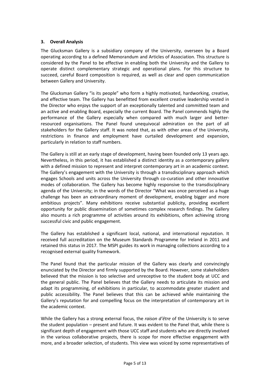### <span id="page-4-0"></span>**3. Overall Analysis**

The Glucksman Gallery is a subsidiary company of the University, overseen by a Board operating according to a defined Memorandum and Articles of Association. This structure is considered by the Panel to be effective in enabling both the University and the Gallery to operate distinct complementary strategic and operational plans. For this structure to succeed, careful Board composition is required, as well as clear and open communication between Gallery and University.

The Glucksman Gallery "is its people" who form a highly motivated, hardworking, creative, and effective team. The Gallery has benefitted from excellent creative leadership vested in the Director who enjoys the support of an exceptionally talented and committed team and an active and enabling Board, especially the current Board. The Panel commends highly the performance of the Gallery especially when compared with much larger and betterresourced organisations. The Panel found unequivocal admiration on the part of all stakeholders for the Gallery staff. It was noted that, as with other areas of the University, restrictions in finance and employment have curtailed development and expansion, particularly in relation to staff numbers.

The Gallery is still at an early stage of development, having been founded only 13 years ago. Nevertheless, in this period, it has established a distinct identity as a contemporary gallery with a defined mission to represent and interpret contemporary art in an academic context. The Gallery's engagement with the University is through a transdisciplinary approach which engages Schools and units across the University through co-curation and other innovative modes of collaboration. The Gallery has become highly responsive to the transdisciplinary agenda of the University; in the words of the Director "What was once perceived as a huge challenge has been an extraordinary moment of development, enabling bigger and more ambitious projects". Many exhibitions receive substantial publicity, providing excellent opportunity for public dissemination of sometimes complex research findings. The Gallery also mounts a rich programme of activities around its exhibitions, often achieving strong successful civic and public engagement.

The Gallery has established a significant local, national, and international reputation. It received full accreditation on the Museum Standards Programme for Ireland in 2011 and retained this status in 2017. The MSPI guides its work in managing collections according to a recognised external quality framework.

The Panel found that the particular mission of the Gallery was clearly and convincingly enunciated by the Director and firmly supported by the Board. However, some stakeholders believed that the mission is too selective and unreceptive to the student body at UCC and the general public. The Panel believes that the Gallery needs to articulate its mission and adapt its programming, of exhibitions in particular, to accommodate greater student and public accessibility. The Panel believes that this can be achieved while maintaining the Gallery's reputation for and compelling focus on the interpretation of contemporary art in the academic context.

While the Gallery has a strong external focus, the *raison d'être* of the University is to serve the student population – present and future. It was evident to the Panel that, while there is significant depth of engagement with those UCC staff and students who are directly involved in the various collaborative projects, there is scope for more effective engagement with more, and a broader selection, of students. This view was voiced by some representatives of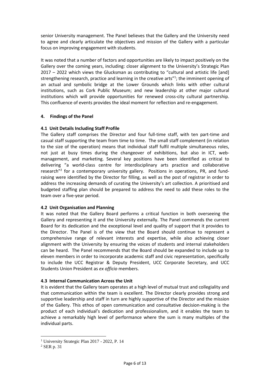senior University management. The Panel believes that the Gallery and the University need to agree and clearly articulate the objectives and mission of the Gallery with a particular focus on improving engagement with students.

It was noted that a number of factors and opportunities are likely to impact positively on the Gallery over the coming years, including: closer alignment to the University's Strategic Plan 2017 – 2022 which views the Glucksman as contributing to "cultural and artistic life [and] strengthening research, practice and learning in the creative arts"<sup>1</sup>; the imminent opening of an actual and symbolic bridge at the Lower Grounds which links with other cultural institutions, such as Cork Public Museum; and new leadership at other major cultural institutions which will provide opportunities for renewed cross-city cultural partnership. This confluence of events provides the ideal moment for reflection and re-engagement.

### <span id="page-5-0"></span>**4. Findings of the Panel**

# <span id="page-5-1"></span>**4.1 Unit Details Including Staff Profile**

The Gallery staff comprises the Director and four full-time staff, with ten part-time and casual staff supporting the team from time to time. The small staff complement (in relation to the size of the operation) means that individual staff fulfil multiple simultaneous roles, not just at busy times during the changeover of exhibitions, but also in ICT, webmanagement, and marketing. Several key positions have been identified as critical to delivering "a world-class centre for interdisciplinary arts practice and collaborative research"<sup>2</sup> for a contemporary university gallery. Positions in operations, PR, and fundraising were identified by the Director for filling, as well as the post of registrar in order to address the increasing demands of curating the University's art collection. A prioritised and budgeted staffing plan should be prepared to address the need to add these roles to the team over a five-year period.

#### <span id="page-5-2"></span>**4.2 Unit Organisation and Planning**

It was noted that the Gallery Board performs a critical function in both overseeing the Gallery and representing it and the University externally. The Panel commends the current Board for its dedication and the exceptional level and quality of support that it provides to the Director. The Panel is of the view that the Board should continue to represent a comprehensive range of relevant interests and expertise, while also achieving closer alignment with the University by ensuring the voices of students and internal stakeholders can be heard. The Panel recommends that the Board should be expanded to include up to eleven members in order to incorporate academic staff and civic representation, specifically to include the UCC Registrar & Deputy President, UCC Corporate Secretary, and UCC Students Union President as *ex officio* members.

#### <span id="page-5-3"></span>**4.3 Internal Communication Across the Unit**

It is evident that the Gallery team operates at a high level of mutual trust and collegiality and that communication within the team is excellent. The Director clearly provides strong and supportive leadership and staff in turn are highly supportive of the Director and the mission of the Gallery. This ethos of open communication and consultative decision-making is the product of each individual's dedication and professionalism, and it enables the team to achieve a remarkably high level of performance where the sum is many multiples of the individual parts.

<u>.</u>

<sup>1</sup> University Strategic Plan 2017 - 2022, P. 14

 $2$  SER p. 31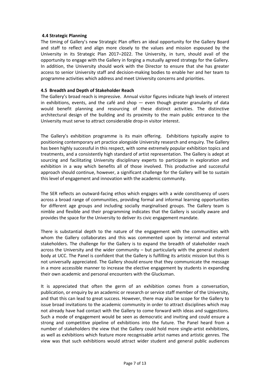### <span id="page-6-0"></span>**4.4 Strategic Planning**

The timing of Gallery's new Strategic Plan offers an ideal opportunity for the Gallery Board and staff to reflect and align more closely to the values and mission espoused by the University in its Strategic Plan 2017–2022. The University, in turn, should avail of the opportunity to engage with the Gallery in forging a mutually agreed strategy for the Gallery. In addition, the University should work with the Director to ensure that she has greater access to senior University staff and decision-making bodies to enable her and her team to programme activities which address and meet University concerns and priorities.

#### <span id="page-6-1"></span>**4.5 Breadth and Depth of Stakeholder Reach**

The Gallery's broad reach is impressive. Annual visitor figures indicate high levels of interest in exhibitions, events, and the café and shop — even though greater granularity of data would benefit planning and resourcing of these distinct activities. The distinctive architectural design of the building and its proximity to the main public entrance to the University must serve to attract considerable drop-in visitor interest.

The Gallery's exhibition programme is its main offering. Exhibitions typically aspire to positioning contemporary art practice alongside University research and enquiry. The Gallery has been highly successful in this respect, with some extremely popular exhibition topics and treatments, and a consistently high standard of artist representation. The Gallery is adept at sourcing and facilitating University disciplinary experts to participate in exploration and exhibition in a way which benefits all of those involved. This productive and successful approach should continue, however, a significant challenge for the Gallery will be to sustain this level of engagement and innovation with the academic community.

The SER reflects an outward-facing ethos which engages with a wide constituency of users across a broad range of communities, providing formal and informal learning opportunities for different age groups and including socially marginalised groups. The Gallery team is nimble and flexible and their programming indicates that the Gallery is socially aware and provides the space for the University to deliver its civic engagement mandate.

There is substantial depth to the nature of the engagement with the communities with whom the Gallery collaborates and this was commented upon by internal and external stakeholders. The challenge for the Gallery is to expand the breadth of stakeholder reach across the University and the wider community – but particularly with the general student body at UCC. The Panel is confident that the Gallery is fulfilling its artistic mission but this is not universally appreciated. The Gallery should ensure that they communicate the message in a more accessible manner to increase the elective engagement by students in expanding their own academic and personal encounters with the Glucksman.

It is appreciated that often the germ of an exhibition comes from a conversation, publication, or enquiry by an academic or research or service staff member of the University, and that this can lead to great success. However, there may also be scope for the Gallery to issue broad invitations to the academic community in order to attract disciplines which may not already have had contact with the Gallery to come forward with ideas and suggestions. Such a mode of engagement would be seen as democratic and inviting and could ensure a strong and competitive pipeline of exhibitions into the future. The Panel heard from a number of stakeholders the view that the Gallery could hold more single-artist exhibitions, as well as exhibitions which feature more recognisable artist names and artistic genres. The view was that such exhibitions would attract wider student and general public audiences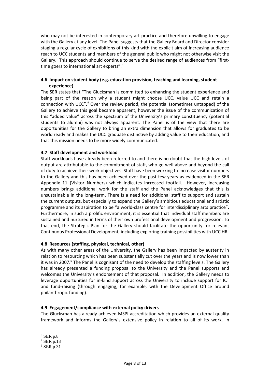who may not be interested in contemporary art practice and therefore unwilling to engage with the Gallery at any level. The Panel suggests that the Gallery Board and Director consider staging a regular cycle of exhibitions of this kind with the explicit aim of increasing audience reach to UCC students and members of the general public who might not otherwise visit the Gallery. This approach should continue to serve the desired range of audiences from "firsttime goers to international art experts".<sup>3</sup>

# <span id="page-7-0"></span>**4.6 Impact on student body (e.g. education provision, teaching and learning, student experience)**

The SER states that "The Glucksman is committed to enhancing the student experience and being part of the reason why a student might choose UCC, value UCC and retain a connection with UCC"*. <sup>4</sup>* Over the review period, the potential (sometimes untapped) of the Gallery to achieve this goal became apparent, however the issue of the communication of this "added value" across the spectrum of the University's primary constituency (potential students to alumni) was not always apparent. The Panel is of the view that there are opportunities for the Gallery to bring an extra dimension that allows for graduates to be world ready and makes the UCC graduate distinctive by adding value to their education, and that this mission needs to be more widely communicated.

### <span id="page-7-1"></span>**4.7 Staff development and workload**

Staff workloads have already been referred to and there is no doubt that the high levels of output are attributable to the commitment of staff, who go well above and beyond the call of duty to achieve their work objectives. Staff have been working to increase visitor numbers to the Gallery and this has been achieved over the past few years as evidenced in the SER Appendix 11 (Visitor Numbers) which indicates increased footfall. However, increasing numbers brings additional work for the staff and the Panel acknowledges that this is unsustainable in the long-term. There is a need for additional staff to support and sustain the current outputs, but especially to expand the Gallery's ambitious educational and artistic programme and its aspiration to be "a world-class centre for interdisciplinary arts practice". Furthermore, in such a prolific environment, it is essential that individual staff members are sustained and nurtured in terms of their own professional development and progression. To that end, the Strategic Plan for the Gallery should facilitate the opportunity for relevant Continuous Professional Development, including exploring training possibilities with UCC HR.

# <span id="page-7-2"></span>**4.8 Resources (staffing, physical, technical, other)**

As with many other areas of the University, the Gallery has been impacted by austerity in relation to resourcing which has been substantially cut over the years and is now lower than it was in 2007.<sup>5</sup> The Panel is cognisant of the need to develop the staffing levels. The Gallery has already presented a funding proposal to the University and the Panel supports and welcomes the University's endorsement of that proposal. In addition, the Gallery needs to leverage opportunities for in-kind support across the University to include support for ICT and fund-raising (through engaging, for example, with the Development Office around philanthropic funding).

#### <span id="page-7-3"></span>**4.9 Engagement/compliance with external policy drivers**

The Glucksman has already achieved MSPI accreditation which provides an external quality framework and informs the Gallery's extensive policy in relation to all of its work. In

<u>.</u>

 $3$  SER p.8

 $4$  SER p.13

<sup>5</sup> SER p.31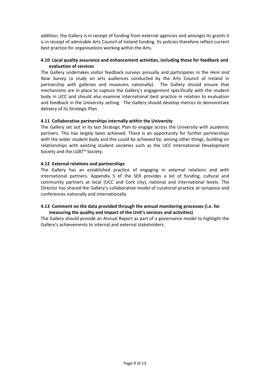addition, the Gallery is in receipt of funding from external agencies and amongst its grants it is in receipt of admirable Arts Council of Ireland funding. Its policies therefore reflect current best practice for organisations working within the Arts.

#### <span id="page-8-0"></span>**4.10 Local quality assurance and enhancement activities, including those for feedback and evaluation of services**

The Gallery undertakes visitor feedback surveys annually and participates in the *Here and Now Survey* (a study on arts audiences conducted by the Arts Council of Ireland in partnership with galleries and museums nationally). The Gallery should ensure that mechanisms are in place to capture the Gallery's engagement specifically with the student body in UCC and should also examine international best practice in relation to evaluation and feedback in the University setting. The Gallery should develop metrics to demonstrate delivery of its Strategic Plan.

### <span id="page-8-1"></span>**4.11 Collaborative partnerships internally within the University**

The Gallery set out in its last Strategic Plan to engage across the University with academic partners. This has largely been achieved. There is an opportunity for further partnerships with the wider student body and this could be achieved by, among other things, building on relationships with existing student societies such as the UCC International Development Society and the LGBT\* Society.

### <span id="page-8-2"></span>**4.12 External relations and partnerships**

The Gallery has an established practice of engaging in external relations and with international partners. Appendix 5 of the SER provides a list of funding, cultural and community partners at local (UCC and Cork city), national and international levels. The Director has shared the Gallery's collaborative model of curatorial practice at symposia and conferences nationally and internationally.

# <span id="page-8-3"></span>**4.13 Comment on the data provided through the annual monitoring processes (i.e. for measuring the quality and impact of the Unit's services and activities)**

The Gallery should provide an Annual Report as part of a governance model to highlight the Gallery's achievements to internal and external stakeholders.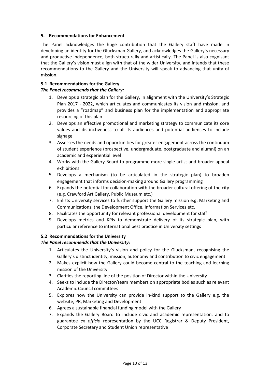#### <span id="page-9-0"></span>**5. Recommendations for Enhancement**

The Panel acknowledges the huge contribution that the Gallery staff have made in developing an identity for the Glucksman Gallery, and acknowledges the Gallery's necessary and productive independence, both structurally and artistically. The Panel is also cognisant that the Gallery's vision must align with that of the wider University, and intends that these recommendations to the Gallery and the University will speak to advancing that unity of mission.

# <span id="page-9-1"></span>**5.1 Recommendations for the Gallery**

# *The Panel recommends that the Gallery:*

- 1. Develops a strategic plan for the Gallery, in alignment with the University's Strategic Plan 2017 - 2022, which articulates and communicates its vision and mission, and provides a "roadmap" and business plan for the implementation and appropriate resourcing of this plan
- 2. Develops an effective promotional and marketing strategy to communicate its core values and distinctiveness to all its audiences and potential audiences to include signage
- 3. Assesses the needs and opportunities for greater engagement across the continuum of student experience (prospective, undergraduate, postgraduate and alumni) on an academic and experiential level
- 4. Works with the Gallery Board to programme more single artist and broader-appeal exhibitions
- 5. Develops a mechanism (to be articulated in the strategic plan) to broaden engagement that informs decision-making around Gallery programming
- 6. Expands the potential for collaboration with the broader cultural offering of the city (e.g. Crawford Art Gallery, Public Museum etc.)
- 7. Enlists University services to further support the Gallery mission e.g. Marketing and Communications, the Development Office, Information Services etc.
- 8. Facilitates the opportunity for relevant professional development for staff
- 9. Develops metrics and KPIs to demonstrate delivery of its strategic plan, with particular reference to international best practice in University settings

# <span id="page-9-2"></span>**5.2 Recommendations for the University**

# *The Panel recommends that the University:*

- 1. Articulates the University's vision and policy for the Glucksman, recognising the Gallery's distinct identity, mission, autonomy and contribution to civic engagement
- 2. Makes explicit how the Gallery could become central to the teaching and learning mission of the University
- 3. Clarifies the reporting line of the position of Director within the University
- 4. Seeks to include the Director/team members on appropriate bodies such as relevant Academic Council committees
- 5. Explores how the University can provide in-kind support to the Gallery e.g. the website, PR, Marketing and Development
- 6. Agrees a sustainable financial funding model with the Gallery
- 7. Expands the Gallery Board to include civic and academic representation, and to guarantee *ex officio* representation by the UCC Registrar & Deputy President, Corporate Secretary and Student Union representative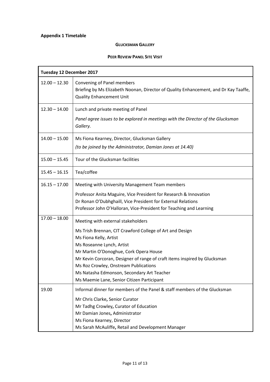# <span id="page-10-0"></span>**Appendix 1 Timetable**

#### **GLUCKSMAN GALLERY**

#### **PEER REVIEW PANEL SITE VISIT**

| Tuesday 12 December 2017 |                                                                                                                                                       |  |  |  |
|--------------------------|-------------------------------------------------------------------------------------------------------------------------------------------------------|--|--|--|
| $12.00 - 12.30$          | Convening of Panel members<br>Briefing by Ms Elizabeth Noonan, Director of Quality Enhancement, and Dr Kay Taaffe,<br><b>Quality Enhancement Unit</b> |  |  |  |
| $12.30 - 14.00$          | Lunch and private meeting of Panel<br>Panel agree issues to be explored in meetings with the Director of the Glucksman                                |  |  |  |
|                          | Gallery.                                                                                                                                              |  |  |  |
| $14.00 - 15.00$          | Ms Fiona Kearney, Director, Glucksman Gallery                                                                                                         |  |  |  |
|                          | (to be joined by the Administrator, Damian Jones at 14.40)                                                                                            |  |  |  |
| $15.00 - 15.45$          | Tour of the Glucksman facilities                                                                                                                      |  |  |  |
| $15.45 - 16.15$          | Tea/coffee                                                                                                                                            |  |  |  |
| $16.15 - 17.00$          | Meeting with University Management Team members                                                                                                       |  |  |  |
|                          | Professor Anita Maguire, Vice President for Research & Innovation                                                                                     |  |  |  |
|                          | Dr Ronan O'Dubhghaill, Vice President for External Relations<br>Professor John O'Halloran, Vice-President for Teaching and Learning                   |  |  |  |
| $17.00 - 18.00$          |                                                                                                                                                       |  |  |  |
|                          | Meeting with external stakeholders                                                                                                                    |  |  |  |
|                          | Ms Trish Brennan, CIT Crawford College of Art and Design                                                                                              |  |  |  |
|                          | Ms Fiona Kelly, Artist<br>Ms Roseanne Lynch, Artist                                                                                                   |  |  |  |
|                          | Mr Martin O'Donoghue, Cork Opera House                                                                                                                |  |  |  |
|                          | Mr Kevin Corcoran, Designer of range of craft items inspired by Glucksman                                                                             |  |  |  |
|                          | Ms Roz Crowley, Onstream Publications                                                                                                                 |  |  |  |
|                          | Ms Natasha Edmonson, Secondary Art Teacher                                                                                                            |  |  |  |
|                          | Ms Maemie Lane, Senior Citizen Participant<br>Informal dinner for members of the Panel & staff members of the Glucksman                               |  |  |  |
| 19.00                    |                                                                                                                                                       |  |  |  |
|                          | Mr Chris Clarke, Senior Curator<br>Mr Tadhg Crowley, Curator of Education                                                                             |  |  |  |
|                          | Mr Damian Jones, Administrator                                                                                                                        |  |  |  |
|                          | Ms Fiona Kearney, Director                                                                                                                            |  |  |  |
|                          | Ms Sarah McAuliffe, Retail and Development Manager                                                                                                    |  |  |  |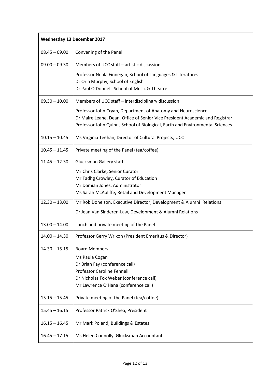| <b>Wednesday 13 December 2017</b> |                                                                                                                                                              |  |
|-----------------------------------|--------------------------------------------------------------------------------------------------------------------------------------------------------------|--|
| $08.45 - 09.00$                   | Convening of the Panel                                                                                                                                       |  |
| $09.00 - 09.30$                   | Members of UCC staff - artistic discussion                                                                                                                   |  |
|                                   | Professor Nuala Finnegan, School of Languages & Literatures                                                                                                  |  |
|                                   | Dr Orla Murphy, School of English<br>Dr Paul O'Donnell, School of Music & Theatre                                                                            |  |
|                                   |                                                                                                                                                              |  |
| $09.30 - 10.00$                   | Members of UCC staff - interdisciplinary discussion                                                                                                          |  |
|                                   | Professor John Cryan, Department of Anatomy and Neuroscience                                                                                                 |  |
|                                   | Dr Máire Leane, Dean, Office of Senior Vice President Academic and Registrar<br>Professor John Quinn, School of Biological, Earth and Environmental Sciences |  |
|                                   |                                                                                                                                                              |  |
| $10.15 - 10.45$                   | Ms Virginia Teehan, Director of Cultural Projects, UCC                                                                                                       |  |
| $10.45 - 11.45$                   | Private meeting of the Panel (tea/coffee)                                                                                                                    |  |
| $11.45 - 12.30$                   | Glucksman Gallery staff                                                                                                                                      |  |
|                                   | Mr Chris Clarke, Senior Curator                                                                                                                              |  |
|                                   | Mr Tadhg Crowley, Curator of Education                                                                                                                       |  |
|                                   | Mr Damian Jones, Administrator<br>Ms Sarah McAuliffe, Retail and Development Manager                                                                         |  |
|                                   |                                                                                                                                                              |  |
| $12.30 - 13.00$                   | Mr Rob Donelson, Executive Director, Development & Alumni Relations                                                                                          |  |
|                                   | Dr Jean Van Sinderen-Law, Development & Alumni Relations                                                                                                     |  |
| $13.00 - 14.00$                   | Lunch and private meeting of the Panel                                                                                                                       |  |
| $14.00 - 14.30$                   | Professor Gerry Wrixon (President Emeritus & Director)                                                                                                       |  |
| $14.30 - 15.15$                   | <b>Board Members</b>                                                                                                                                         |  |
|                                   | Ms Paula Cogan                                                                                                                                               |  |
|                                   | Dr Brian Fay (conference call)                                                                                                                               |  |
|                                   | Professor Caroline Fennell                                                                                                                                   |  |
|                                   | Dr Nicholas Fox Weber (conference call)<br>Mr Lawrence O'Hana (conference call)                                                                              |  |
|                                   |                                                                                                                                                              |  |
| $15.15 - 15.45$                   | Private meeting of the Panel (tea/coffee)                                                                                                                    |  |
| $15.45 - 16.15$                   | Professor Patrick O'Shea, President                                                                                                                          |  |
| $16.15 - 16.45$                   | Mr Mark Poland, Buildings & Estates                                                                                                                          |  |
| $16.45 - 17.15$                   | Ms Helen Connolly, Glucksman Accountant                                                                                                                      |  |